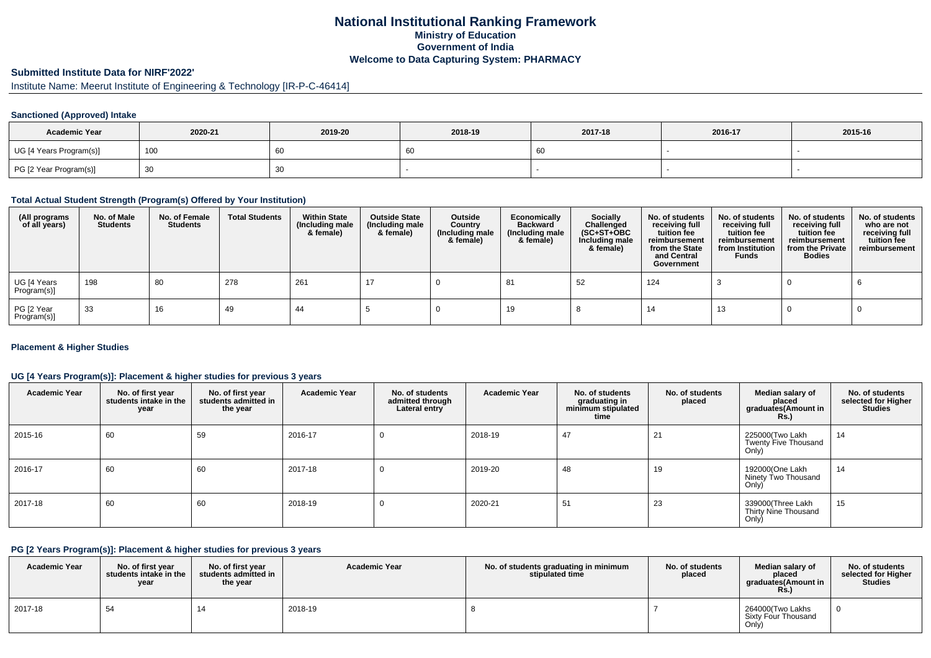# **National Institutional Ranking FrameworkMinistry of Education Government of IndiaWelcome to Data Capturing System: PHARMACY**

# **Submitted Institute Data for NIRF'2022'**

# Institute Name: Meerut Institute of Engineering & Technology [IR-P-C-46414]

### **Sanctioned (Approved) Intake**

| <b>Academic Year</b>    | 2020-21 | 2019-20 | 2018-19 | 2017-18 | 2016-17 | 2015-16 |
|-------------------------|---------|---------|---------|---------|---------|---------|
| UG [4 Years Program(s)] | 100     | 60      | 0C      | -60     |         |         |
| PG [2 Year Program(s)]  | ັບບ     | 30      |         |         |         |         |

#### **Total Actual Student Strength (Program(s) Offered by Your Institution)**

| (All programs<br>of all years) | No. of Male<br><b>Students</b> | No. of Female<br>Students | <b>Total Students</b> | <b>Within State</b><br>(Including male<br>& female) | <b>Outside State</b><br>(Including male<br>& female) | Outside<br>Country<br>(Including male<br>& female) | Economically<br>Backward<br>(Including male<br>& female) | <b>Socially</b><br>Challenged<br>$(SC+ST+OBC)$<br>Including male<br>& female) | No. of students<br>receiving full<br>tuition fee<br>reimbursement<br>from the State<br>and Central<br>Government | No. of students<br>receiving full<br>tuition fee<br>reimbursement<br>from Institution<br><b>Funds</b> | No. of students<br>receiving full<br>tuition fee<br>reimbursement<br>from the Private<br><b>Bodies</b> | No. of students<br>who are not<br>receiving full<br>tuition fee<br>reimbursement |
|--------------------------------|--------------------------------|---------------------------|-----------------------|-----------------------------------------------------|------------------------------------------------------|----------------------------------------------------|----------------------------------------------------------|-------------------------------------------------------------------------------|------------------------------------------------------------------------------------------------------------------|-------------------------------------------------------------------------------------------------------|--------------------------------------------------------------------------------------------------------|----------------------------------------------------------------------------------|
| UG [4 Years<br>Program(s)]     | 198                            | 80                        | 278                   | 261                                                 | - 17                                                 |                                                    | -81                                                      | 52                                                                            | 124                                                                                                              |                                                                                                       |                                                                                                        |                                                                                  |
| PG [2 Year<br>Program(s)]      | 33                             | 16                        | 49                    | 44                                                  |                                                      |                                                    | 19                                                       |                                                                               | 14                                                                                                               | 13                                                                                                    |                                                                                                        |                                                                                  |

### **Placement & Higher Studies**

### **UG [4 Years Program(s)]: Placement & higher studies for previous 3 years**

| <b>Academic Year</b> | No. of first year<br>students intake in the<br>year | No. of first year<br>students admitted in<br>the year | <b>Academic Year</b> | No. of students<br>admitted through<br>Lateral entry | <b>Academic Year</b> | No. of students<br>graduating in<br>minimum stipulated<br>time | No. of students<br>placed | Median salary of<br>placed<br>graduates(Amount in<br><b>Rs.)</b> | No. of students<br>selected for Higher<br><b>Studies</b> |
|----------------------|-----------------------------------------------------|-------------------------------------------------------|----------------------|------------------------------------------------------|----------------------|----------------------------------------------------------------|---------------------------|------------------------------------------------------------------|----------------------------------------------------------|
| 2015-16              | 60                                                  | 59                                                    | 2016-17              | 0                                                    | 2018-19              | 47                                                             | 21                        | 225000(Two Lakh<br>Twenty Five Thousand<br>Only)                 | 14                                                       |
| 2016-17              | 60                                                  | 60                                                    | 2017-18              | 0                                                    | 2019-20              | 48                                                             | 19                        | 192000(One Lakh<br>Ninety Two Thousand<br>Only)                  | 14                                                       |
| 2017-18              | 60                                                  | 60                                                    | 2018-19              | 0                                                    | 2020-21              | 51                                                             | 23                        | 339000(Three Lakh<br>Thirty Nine Thousand<br>Only)               | 15                                                       |

#### **PG [2 Years Program(s)]: Placement & higher studies for previous 3 years**

| <b>Academic Year</b> | No. of first vear<br>students intake in the<br>year | No. of first year<br>students admitted in<br>the year | <b>Academic Year</b> | No. of students graduating in minimum<br>stipulated time | No. of students<br>placed | Median salary of<br>placed<br>araduates(Amount in<br><b>Rs.)</b> | No. of students<br>selected for Higher<br><b>Studies</b> |
|----------------------|-----------------------------------------------------|-------------------------------------------------------|----------------------|----------------------------------------------------------|---------------------------|------------------------------------------------------------------|----------------------------------------------------------|
| 2017-18              | 54                                                  |                                                       | 2018-19              |                                                          |                           | 264000(Two Lakhs<br>Sixty Four Thousand<br>Only)                 | - 0                                                      |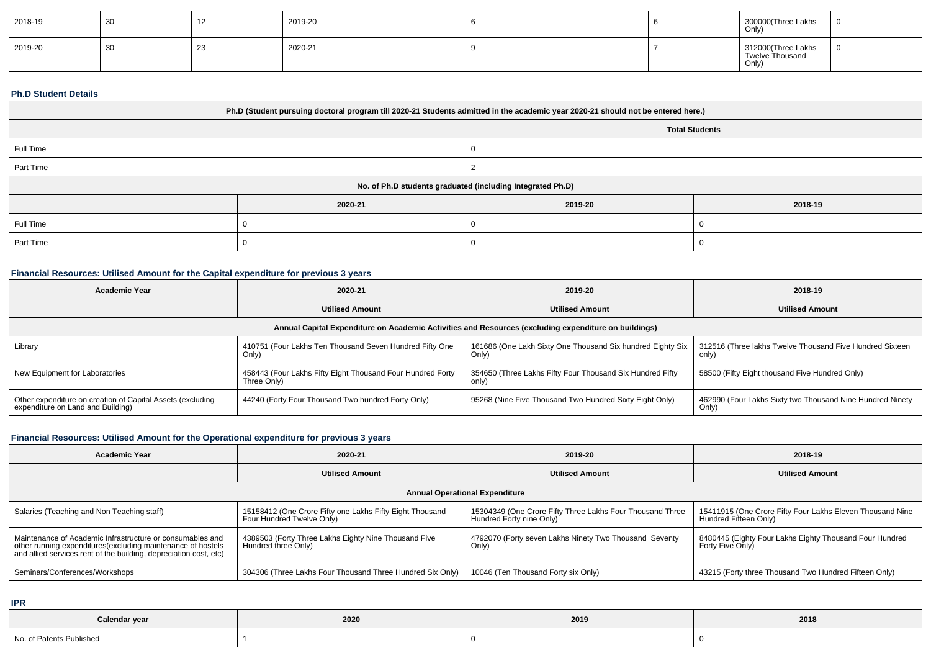| 2018-19 | 30 | ╶╹ | 2019-20 |  | 300000(Three Lakhs<br>  Only)                  |  |
|---------|----|----|---------|--|------------------------------------------------|--|
| 2019-20 | 30 | ںے | 2020-21 |  | 312000(Three Lakhs<br>Twelve Thousand<br>Only) |  |

### **Ph.D Student Details**

| Ph.D (Student pursuing doctoral program till 2020-21 Students admitted in the academic year 2020-21 should not be entered here.) |                       |         |         |  |  |  |
|----------------------------------------------------------------------------------------------------------------------------------|-----------------------|---------|---------|--|--|--|
|                                                                                                                                  | <b>Total Students</b> |         |         |  |  |  |
| Full Time                                                                                                                        |                       |         |         |  |  |  |
| Part Time                                                                                                                        |                       |         |         |  |  |  |
| No. of Ph.D students graduated (including Integrated Ph.D)                                                                       |                       |         |         |  |  |  |
|                                                                                                                                  | 2020-21               | 2019-20 | 2018-19 |  |  |  |
| Full Time                                                                                                                        |                       |         |         |  |  |  |
| Part Time                                                                                                                        |                       |         |         |  |  |  |

# **Financial Resources: Utilised Amount for the Capital expenditure for previous 3 years**

| <b>Academic Year</b>                                                                                 | 2020-21                                                                   | 2019-20                                                             | 2018-19                                                            |  |  |  |  |  |
|------------------------------------------------------------------------------------------------------|---------------------------------------------------------------------------|---------------------------------------------------------------------|--------------------------------------------------------------------|--|--|--|--|--|
|                                                                                                      | <b>Utilised Amount</b>                                                    | <b>Utilised Amount</b>                                              | <b>Utilised Amount</b>                                             |  |  |  |  |  |
| Annual Capital Expenditure on Academic Activities and Resources (excluding expenditure on buildings) |                                                                           |                                                                     |                                                                    |  |  |  |  |  |
| Library                                                                                              | 410751 (Four Lakhs Ten Thousand Seven Hundred Fifty One<br>Only)          | 161686 (One Lakh Sixty One Thousand Six hundred Eighty Six<br>Only) | 312516 (Three lakhs Twelve Thousand Five Hundred Sixteen<br>only)  |  |  |  |  |  |
| New Equipment for Laboratories                                                                       | 458443 (Four Lakhs Fifty Eight Thousand Four Hundred Forty<br>Three Only) | 354650 (Three Lakhs Fifty Four Thousand Six Hundred Fifty<br>only)  | 58500 (Fifty Eight thousand Five Hundred Only)                     |  |  |  |  |  |
| Other expenditure on creation of Capital Assets (excluding<br>expenditure on Land and Building)      | 44240 (Forty Four Thousand Two hundred Forty Only)                        | 95268 (Nine Five Thousand Two Hundred Sixty Eight Only)             | 462990 (Four Lakhs Sixty two Thousand Nine Hundred Ninety<br>Only) |  |  |  |  |  |

## **Financial Resources: Utilised Amount for the Operational expenditure for previous 3 years**

| <b>Academic Year</b>                                                                                                                                                                            | 2020-21                                                                               | 2019-20                                                                               | 2018-19                                                                            |  |  |  |  |  |
|-------------------------------------------------------------------------------------------------------------------------------------------------------------------------------------------------|---------------------------------------------------------------------------------------|---------------------------------------------------------------------------------------|------------------------------------------------------------------------------------|--|--|--|--|--|
|                                                                                                                                                                                                 | <b>Utilised Amount</b>                                                                | <b>Utilised Amount</b>                                                                | <b>Utilised Amount</b>                                                             |  |  |  |  |  |
| <b>Annual Operational Expenditure</b>                                                                                                                                                           |                                                                                       |                                                                                       |                                                                                    |  |  |  |  |  |
| Salaries (Teaching and Non Teaching staff)                                                                                                                                                      | 15158412 (One Crore Fifty one Lakhs Fifty Eight Thousand<br>Four Hundred Twelve Only) | 15304349 (One Crore Fifty Three Lakhs Four Thousand Three<br>Hundred Forty nine Only) | 15411915 (One Crore Fifty Four Lakhs Eleven Thousand Nine<br>Hundred Fifteen Only) |  |  |  |  |  |
| Maintenance of Academic Infrastructure or consumables and<br>other running expenditures (excluding maintenance of hostels<br>and allied services, rent of the building, depreciation cost, etc) | 4389503 (Forty Three Lakhs Eighty Nine Thousand Five<br>Hundred three Only)           | 4792070 (Forty seven Lakhs Ninety Two Thousand Seventy<br>Only)                       | 8480445 (Eighty Four Lakhs Eighty Thousand Four Hundred<br>Forty Five Only)        |  |  |  |  |  |
| Seminars/Conferences/Workshops                                                                                                                                                                  | 304306 (Three Lakhs Four Thousand Three Hundred Six Only)                             | 10046 (Ten Thousand Forty six Only)                                                   | 43215 (Forty three Thousand Two Hundred Fifteen Only)                              |  |  |  |  |  |

**IPR**

| Calendar year            | 2020 | 2019 | 2018 |
|--------------------------|------|------|------|
| No. of Patents Published |      |      |      |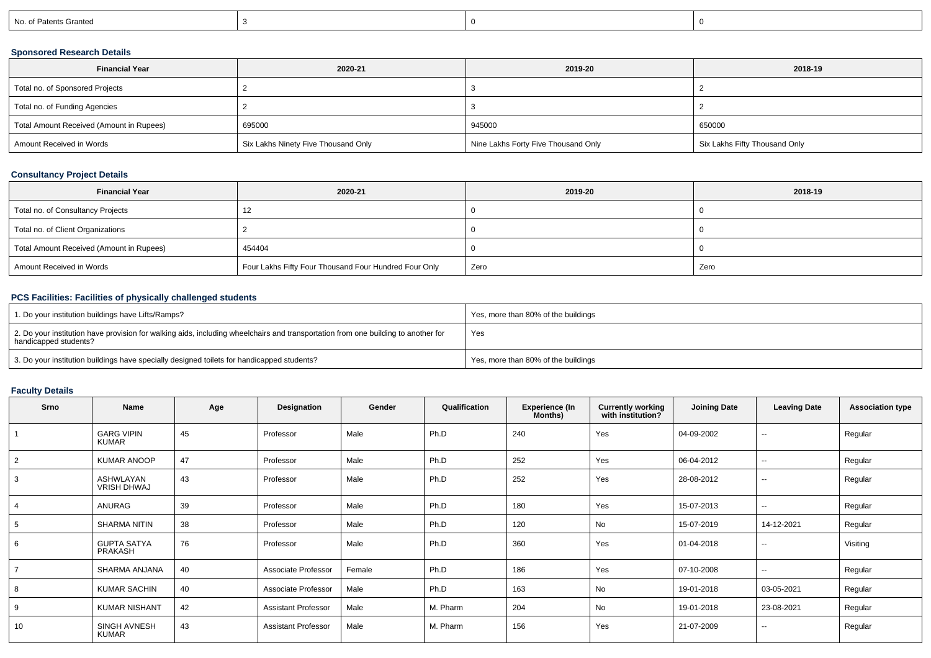| No. of Patents Granted |
|------------------------|
|------------------------|

## **Sponsored Research Details**

| <b>Financial Year</b>                    | 2020-21                             | 2019-20                             | 2018-19                       |
|------------------------------------------|-------------------------------------|-------------------------------------|-------------------------------|
| Total no. of Sponsored Projects          |                                     |                                     |                               |
| Total no. of Funding Agencies            |                                     |                                     |                               |
| Total Amount Received (Amount in Rupees) | 695000                              | 945000                              | 650000                        |
| Amount Received in Words                 | Six Lakhs Ninety Five Thousand Only | Nine Lakhs Forty Five Thousand Only | Six Lakhs Fifty Thousand Only |

## **Consultancy Project Details**

| <b>Financial Year</b>                    | 2020-21                                               | 2019-20 | 2018-19 |
|------------------------------------------|-------------------------------------------------------|---------|---------|
| Total no. of Consultancy Projects        |                                                       |         |         |
| Total no. of Client Organizations        |                                                       |         |         |
| Total Amount Received (Amount in Rupees) | 454404                                                |         |         |
| Amount Received in Words                 | Four Lakhs Fifty Four Thousand Four Hundred Four Only | Zero    | Zero    |

## **PCS Facilities: Facilities of physically challenged students**

| <sup>1</sup> 1. Do your institution buildings have Lifts/Ramps?                                                                                            | Yes, more than 80% of the buildings |
|------------------------------------------------------------------------------------------------------------------------------------------------------------|-------------------------------------|
| 2. Do your institution have provision for walking aids, including wheelchairs and transportation from one building to another for<br>handicapped students? | Yes                                 |
| 3. Do your institution buildings have specially designed toilets for handicapped students?                                                                 | Yes, more than 80% of the buildings |

# **Faculty Details**

| Srno           | <b>Name</b>                          | Age | Designation                | Gender | Qualification | <b>Experience (In</b><br>Months) | <b>Currently working</b><br>with institution? | <b>Joining Date</b> | <b>Leaving Date</b>      | <b>Association type</b> |
|----------------|--------------------------------------|-----|----------------------------|--------|---------------|----------------------------------|-----------------------------------------------|---------------------|--------------------------|-------------------------|
|                | <b>GARG VIPIN</b><br><b>KUMAR</b>    | 45  | Professor                  | Male   | Ph.D          | 240                              | Yes                                           | 04-09-2002          | $\sim$                   | Regular                 |
| 2              | <b>KUMAR ANOOP</b>                   | 47  | Professor                  | Male   | Ph.D          | 252                              | Yes                                           | 06-04-2012          | $\sim$                   | Regular                 |
| 3              | ASHWLAYAN<br><b>VRISH DHWAJ</b>      | 43  | Professor                  | Male   | Ph.D          | 252                              | Yes                                           | 28-08-2012          | $\sim$                   | Regular                 |
| $\overline{4}$ | ANURAG                               | 39  | Professor                  | Male   | Ph.D          | 180                              | Yes                                           | 15-07-2013          | $\sim$                   | Regular                 |
| 5              | <b>SHARMA NITIN</b>                  | 38  | Professor                  | Male   | Ph.D          | 120                              | No                                            | 15-07-2019          | 14-12-2021               | Regular                 |
| 6              | <b>GUPTA SATYA</b><br><b>PRAKASH</b> | 76  | Professor                  | Male   | Ph.D          | 360                              | Yes                                           | 01-04-2018          | $\overline{\phantom{a}}$ | Visiting                |
|                | SHARMA ANJANA                        | 40  | Associate Professor        | Female | Ph.D          | 186                              | Yes                                           | 07-10-2008          | $\overline{\phantom{a}}$ | Regular                 |
| 8              | <b>KUMAR SACHIN</b>                  | 40  | Associate Professor        | Male   | Ph.D          | 163                              | No                                            | 19-01-2018          | 03-05-2021               | Regular                 |
| 9              | <b>KUMAR NISHANT</b>                 | 42  | <b>Assistant Professor</b> | Male   | M. Pharm      | 204                              | <b>No</b>                                     | 19-01-2018          | 23-08-2021               | Regular                 |
| 10             | SINGH AVNESH<br><b>KUMAR</b>         | 43  | <b>Assistant Professor</b> | Male   | M. Pharm      | 156                              | Yes                                           | 21-07-2009          | $\overline{\phantom{a}}$ | Regular                 |